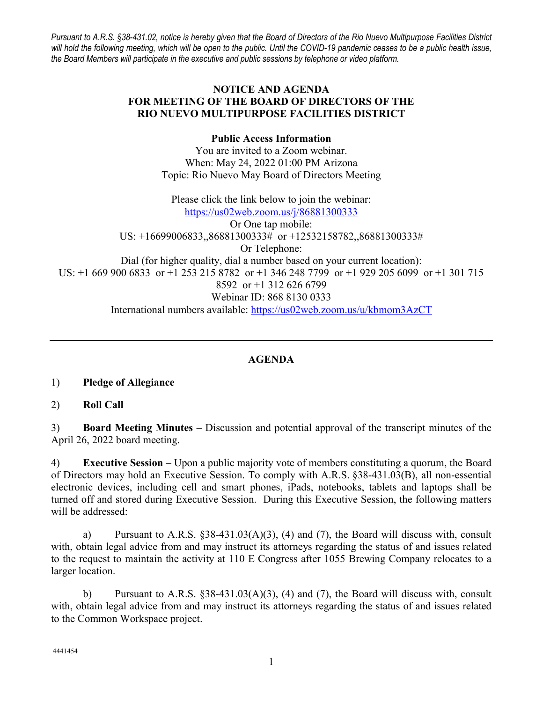*Pursuant to A.R.S. §38-431.02, notice is hereby given that the Board of Directors of the Rio Nuevo Multipurpose Facilities District will hold the following meeting, which will be open to the public. Until the COVID-19 pandemic ceases to be a public health issue, the Board Members will participate in the executive and public sessions by telephone or video platform.*

# **NOTICE AND AGENDA FOR MEETING OF THE BOARD OF DIRECTORS OF THE RIO NUEVO MULTIPURPOSE FACILITIES DISTRICT**

## **Public Access Information**

You are invited to a Zoom webinar. When: May 24, 2022 01:00 PM Arizona Topic: Rio Nuevo May Board of Directors Meeting

Please click the link below to join the webinar: <https://us02web.zoom.us/j/86881300333> Or One tap mobile: US: +16699006833,,86881300333# or +12532158782,,86881300333# Or Telephone: Dial (for higher quality, dial a number based on your current location): US: +1 669 900 6833 or +1 253 215 8782 or +1 346 248 7799 or +1 929 205 6099 or +1 301 715 8592 or +1 312 626 6799 Webinar ID: 868 8130 0333 International numbers available:<https://us02web.zoom.us/u/kbmom3AzCT>

# **AGENDA**

# 1) **Pledge of Allegiance**

# 2) **Roll Call**

3) **Board Meeting Minutes** – Discussion and potential approval of the transcript minutes of the April 26, 2022 board meeting.

4) **Executive Session** – Upon a public majority vote of members constituting a quorum, the Board of Directors may hold an Executive Session. To comply with A.R.S. §38-431.03(B), all non-essential electronic devices, including cell and smart phones, iPads, notebooks, tablets and laptops shall be turned off and stored during Executive Session. During this Executive Session, the following matters will be addressed:

a) Pursuant to A.R.S. §38-431.03(A)(3), (4) and (7), the Board will discuss with, consult with, obtain legal advice from and may instruct its attorneys regarding the status of and issues related to the request to maintain the activity at 110 E Congress after 1055 Brewing Company relocates to a larger location.

b) Pursuant to A.R.S. §38-431.03(A)(3), (4) and (7), the Board will discuss with, consult with, obtain legal advice from and may instruct its attorneys regarding the status of and issues related to the Common Workspace project.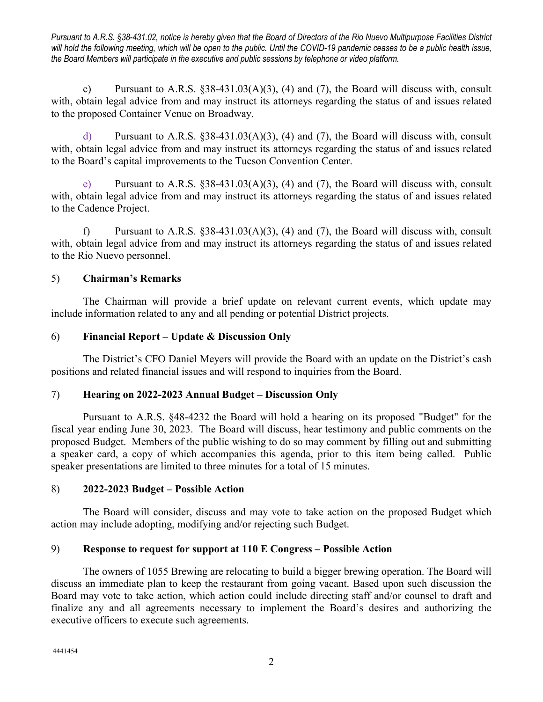*Pursuant to A.R.S. §38-431.02, notice is hereby given that the Board of Directors of the Rio Nuevo Multipurpose Facilities District will hold the following meeting, which will be open to the public. Until the COVID-19 pandemic ceases to be a public health issue, the Board Members will participate in the executive and public sessions by telephone or video platform.*

c) Pursuant to A.R.S.  $\S 38-431.03(A)(3)$ , (4) and (7), the Board will discuss with, consult with, obtain legal advice from and may instruct its attorneys regarding the status of and issues related to the proposed Container Venue on Broadway.

d) Pursuant to A.R.S. §38-431.03(A)(3), (4) and (7), the Board will discuss with, consult with, obtain legal advice from and may instruct its attorneys regarding the status of and issues related to the Board's capital improvements to the Tucson Convention Center.

e) Pursuant to A.R.S.  $\S 38-431.03(A)(3)$ , (4) and (7), the Board will discuss with, consult with, obtain legal advice from and may instruct its attorneys regarding the status of and issues related to the Cadence Project.

f) Pursuant to A.R.S. §38-431.03(A)(3), (4) and (7), the Board will discuss with, consult with, obtain legal advice from and may instruct its attorneys regarding the status of and issues related to the Rio Nuevo personnel.

# 5) **Chairman's Remarks**

The Chairman will provide a brief update on relevant current events, which update may include information related to any and all pending or potential District projects.

# 6) **Financial Report – Update & Discussion Only**

The District's CFO Daniel Meyers will provide the Board with an update on the District's cash positions and related financial issues and will respond to inquiries from the Board.

# 7) **Hearing on 2022-2023 Annual Budget – Discussion Only**

Pursuant to A.R.S. §48-4232 the Board will hold a hearing on its proposed "Budget" for the fiscal year ending June 30, 2023. The Board will discuss, hear testimony and public comments on the proposed Budget. Members of the public wishing to do so may comment by filling out and submitting a speaker card, a copy of which accompanies this agenda, prior to this item being called. Public speaker presentations are limited to three minutes for a total of 15 minutes.

# 8) **2022-2023 Budget – Possible Action**

The Board will consider, discuss and may vote to take action on the proposed Budget which action may include adopting, modifying and/or rejecting such Budget.

# 9) **Response to request for support at 110 E Congress – Possible Action**

The owners of 1055 Brewing are relocating to build a bigger brewing operation. The Board will discuss an immediate plan to keep the restaurant from going vacant. Based upon such discussion the Board may vote to take action, which action could include directing staff and/or counsel to draft and finalize any and all agreements necessary to implement the Board's desires and authorizing the executive officers to execute such agreements.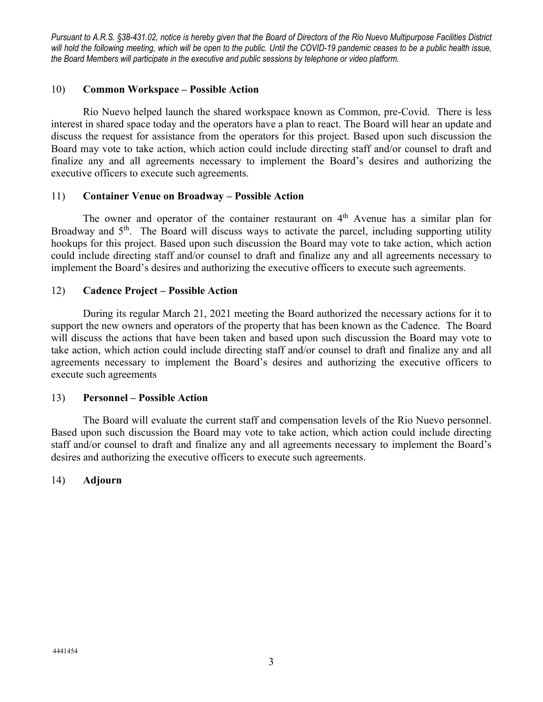*Pursuant to A.R.S. §38-431.02, notice is hereby given that the Board of Directors of the Rio Nuevo Multipurpose Facilities District will hold the following meeting, which will be open to the public. Until the COVID-19 pandemic ceases to be a public health issue, the Board Members will participate in the executive and public sessions by telephone or video platform.*

### 10) **Common Workspace – Possible Action**

Rio Nuevo helped launch the shared workspace known as Common, pre-Covid. There is less interest in shared space today and the operators have a plan to react. The Board will hear an update and discuss the request for assistance from the operators for this project. Based upon such discussion the Board may vote to take action, which action could include directing staff and/or counsel to draft and finalize any and all agreements necessary to implement the Board's desires and authorizing the executive officers to execute such agreements.

#### 11) **Container Venue on Broadway – Possible Action**

The owner and operator of the container restaurant on  $4<sup>th</sup>$  Avenue has a similar plan for Broadway and  $5<sup>th</sup>$ . The Board will discuss ways to activate the parcel, including supporting utility hookups for this project. Based upon such discussion the Board may vote to take action, which action could include directing staff and/or counsel to draft and finalize any and all agreements necessary to implement the Board's desires and authorizing the executive officers to execute such agreements.

#### 12) **Cadence Project – Possible Action**

During its regular March 21, 2021 meeting the Board authorized the necessary actions for it to support the new owners and operators of the property that has been known as the Cadence. The Board will discuss the actions that have been taken and based upon such discussion the Board may vote to take action, which action could include directing staff and/or counsel to draft and finalize any and all agreements necessary to implement the Board's desires and authorizing the executive officers to execute such agreements

### 13) **Personnel – Possible Action**

The Board will evaluate the current staff and compensation levels of the Rio Nuevo personnel. Based upon such discussion the Board may vote to take action, which action could include directing staff and/or counsel to draft and finalize any and all agreements necessary to implement the Board's desires and authorizing the executive officers to execute such agreements.

### 14) **Adjourn**